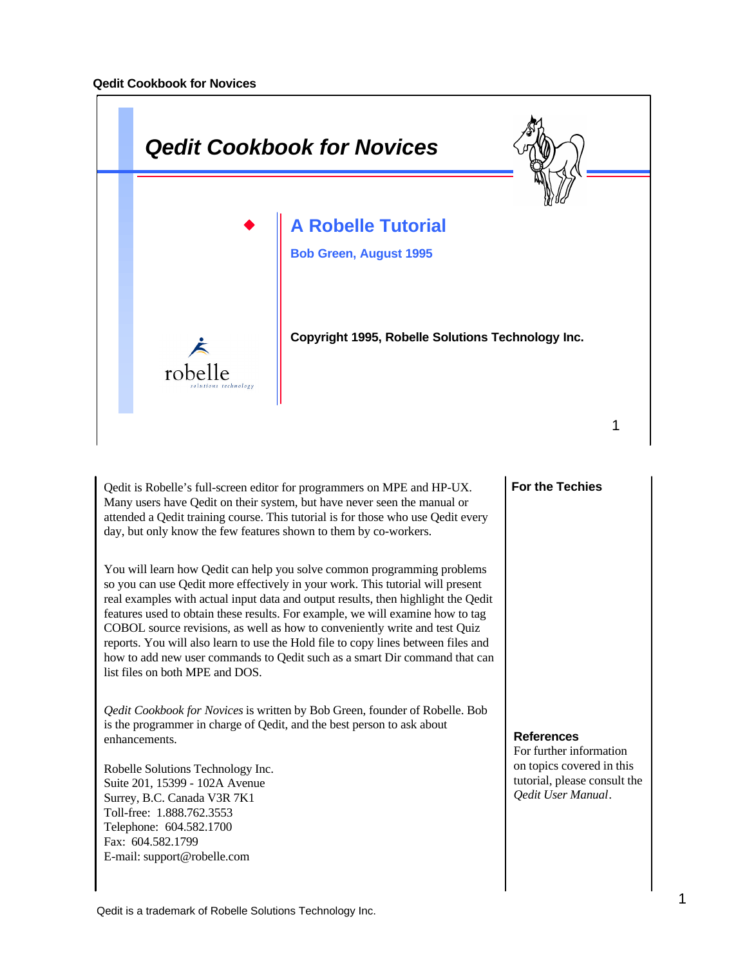

Qedit is Robelle's full-screen editor for programmers on MPE and HP-UX. Many users have Qedit on their system, but have never seen the manual or attended a Qedit training course. This tutorial is for those who use Qedit every day, but only know the few features shown to them by co-workers.

You will learn how Qedit can help you solve common programming problems so you can use Qedit more effectively in your work. This tutorial will present real examples with actual input data and output results, then highlight the Qedit features used to obtain these results. For example, we will examine how to tag COBOL source revisions, as well as how to conveniently write and test Quiz reports. You will also learn to use the Hold file to copy lines between files and how to add new user commands to Qedit such as a smart Dir command that can list files on both MPE and DOS.

*Qedit Cookbook for Novices* is written by Bob Green, founder of Robelle. Bob is the programmer in charge of Qedit, and the best person to ask about enhancements.

Robelle Solutions Technology Inc. Suite 201, 15399 - 102A Avenue Surrey, B.C. Canada V3R 7K1 Toll-free: 1.888.762.3553 Telephone: 604.582.1700 Fax: 604.582.1799 E-mail: support@robelle.com

#### **For the Techies**

#### **References**

For further information on topics covered in this tutorial, please consult the *Qedit User Manual*.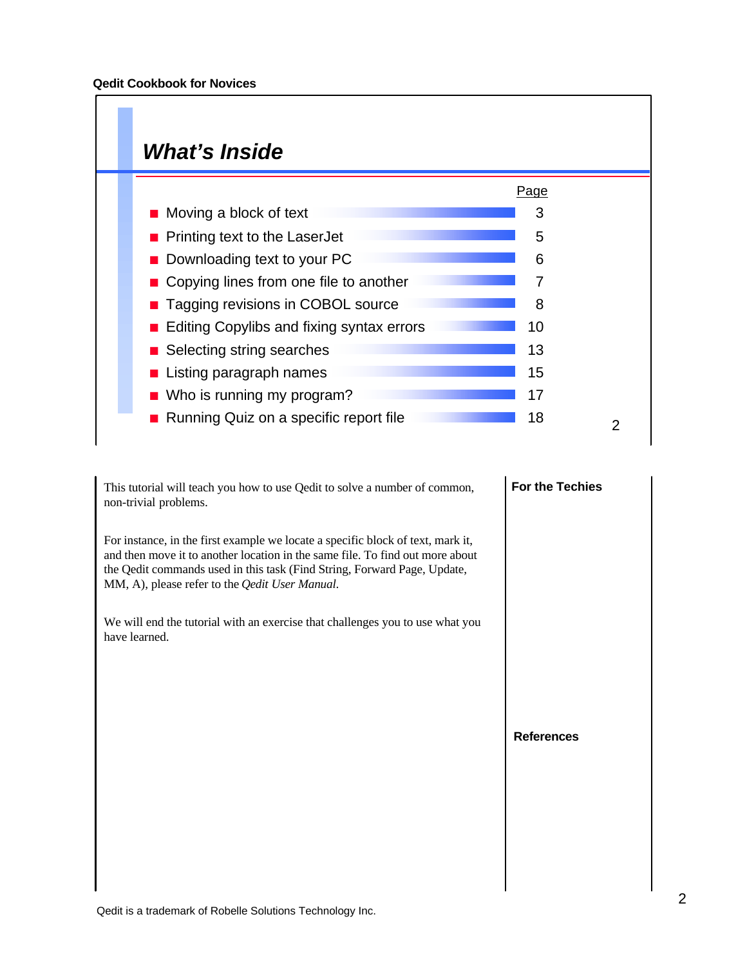## *What's Inside*

|                                           | Page |  |
|-------------------------------------------|------|--|
| $\blacksquare$ Moving a block of text     | 3    |  |
| <b>Printing text to the LaserJet</b>      | 5    |  |
| Downloading text to your PC               | 6    |  |
| • Copying lines from one file to another  | 7    |  |
| <b>Tagging revisions in COBOL source</b>  | 8    |  |
| Editing Copylibs and fixing syntax errors | 10   |  |
| ■ Selecting string searches               | 13   |  |
| Listing paragraph names                   | 15   |  |
| Who is running my program?                | 17   |  |
| Running Quiz on a specific report file    | 18   |  |

This tutorial will teach you how to use Qedit to solve a number of common, non-trivial problems.

For instance, in the first example we locate a specific block of text, mark it, and then move it to another location in the same file. To find out more about the Qedit commands used in this task (Find String, Forward Page, Update, MM, A), please refer to the *Qedit User Manual*.

We will end the tutorial with an exercise that challenges you to use what you have learned.

# **For the Techies**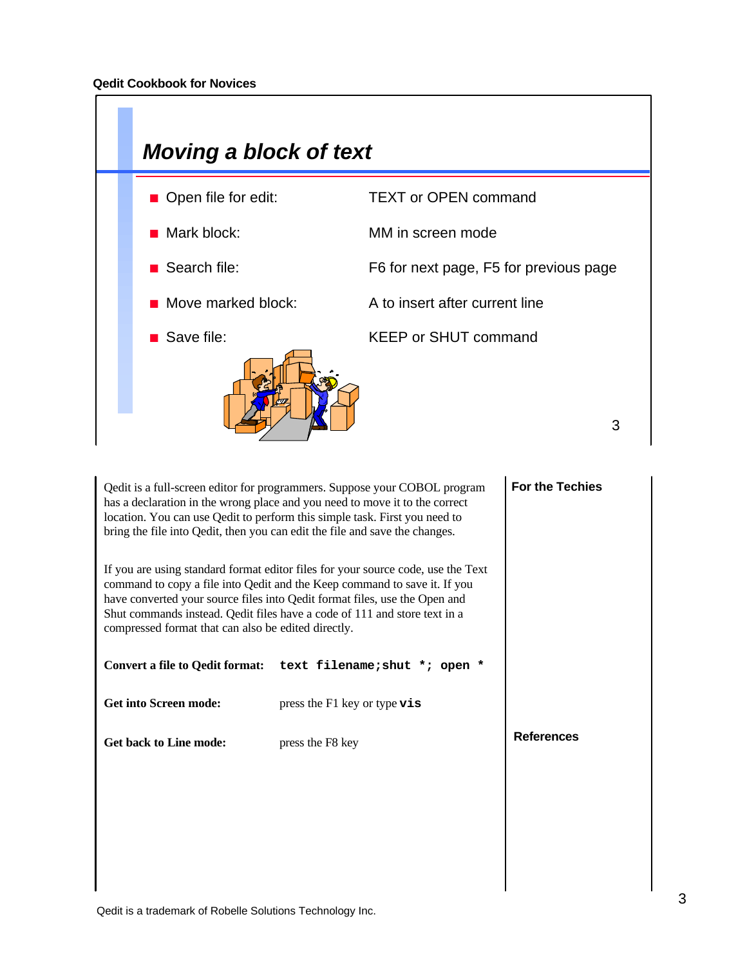

| Qedit is a full-screen editor for programmers. Suppose your COBOL program<br>has a declaration in the wrong place and you need to move it to the correct<br>location. You can use Qedit to perform this simple task. First you need to<br>bring the file into Qedit, then you can edit the file and save the changes.                                                           | <b>For the Techies</b>                                        |                   |
|---------------------------------------------------------------------------------------------------------------------------------------------------------------------------------------------------------------------------------------------------------------------------------------------------------------------------------------------------------------------------------|---------------------------------------------------------------|-------------------|
| If you are using standard format editor files for your source code, use the Text<br>command to copy a file into Qedit and the Keep command to save it. If you<br>have converted your source files into Qedit format files, use the Open and<br>Shut commands instead. Qedit files have a code of 111 and store text in a<br>compressed format that can also be edited directly. |                                                               |                   |
|                                                                                                                                                                                                                                                                                                                                                                                 | Convert a file to Qedit format: text filename; shut *; open * |                   |
| <b>Get into Screen mode:</b>                                                                                                                                                                                                                                                                                                                                                    | press the F1 key or type $\mathbf{vis}$                       |                   |
| <b>Get back to Line mode:</b>                                                                                                                                                                                                                                                                                                                                                   | press the F8 key                                              | <b>References</b> |
|                                                                                                                                                                                                                                                                                                                                                                                 |                                                               |                   |
|                                                                                                                                                                                                                                                                                                                                                                                 |                                                               |                   |
|                                                                                                                                                                                                                                                                                                                                                                                 |                                                               |                   |

 $\mathbf{I}$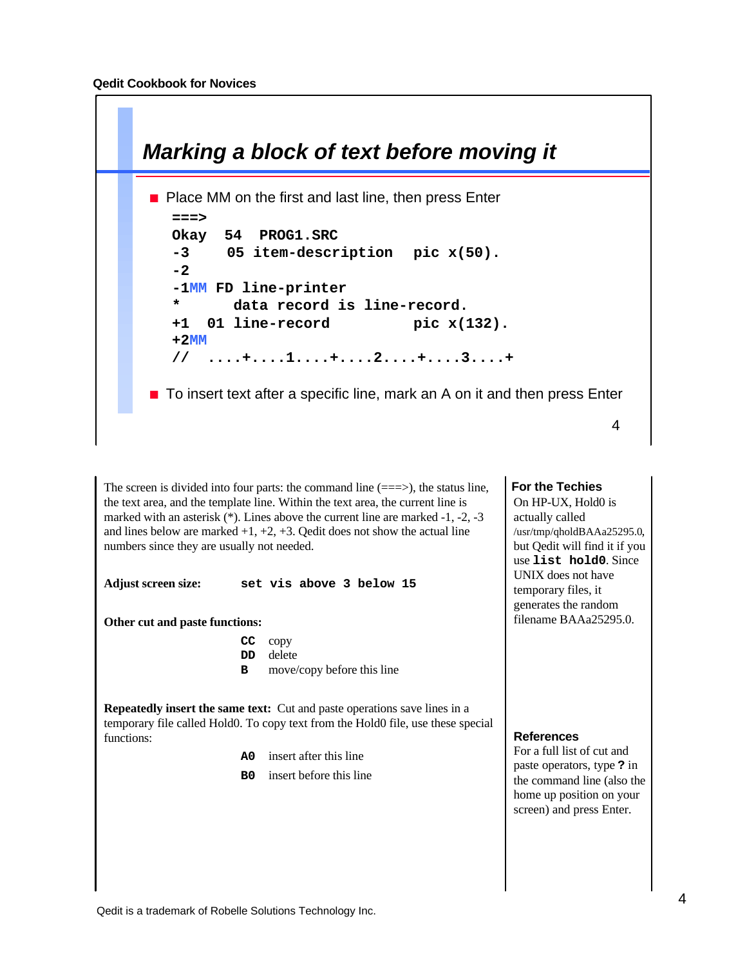

The screen is divided into four parts: the command line  $(==>)$ , the status line, the text area, and the template line. Within the text area, the current line is marked with an asterisk (\*). Lines above the current line are marked -1, -2, -3 and lines below are marked  $+1$ ,  $+2$ ,  $+3$ . Qedit does not show the actual line numbers since they are usually not needed.

**Adjust screen size: set vis above 3 below 15**

**Other cut and paste functions:**

| $CC$ copy                           |
|-------------------------------------|
| <b>DD</b> delete                    |
| <b>B</b> move/copy before this line |

**Repeatedly insert the same text:** Cut and paste operations save lines in a temporary file called Hold0. To copy text from the Hold0 file, use these special functions:

- **A0** insert after this line
- **B0** insert before this line

#### **For the Techies**

On HP-UX, Hold0 is actually called /usr/tmp/qholdBAAa25295.0, but Qedit will find it if you use **list hold0**. Since UNIX does not have temporary files, it generates the random filename BAAa25295.0.

#### **References**

For a full list of cut and paste operators, type **?** in the command line (also the home up position on your screen) and press Enter.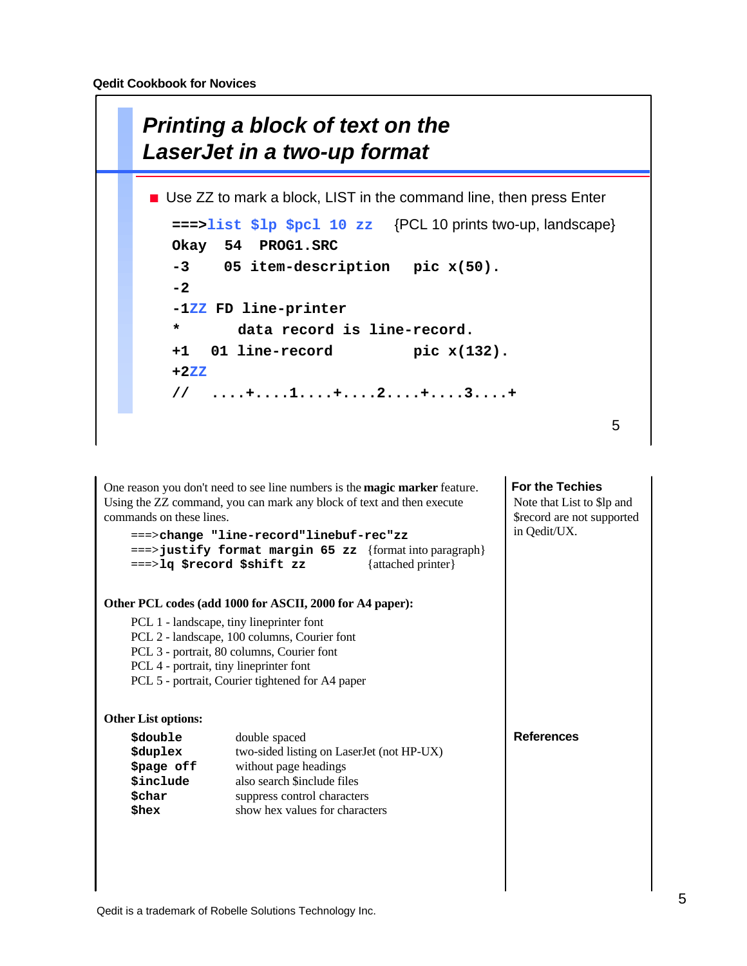

**For the Techies References** One reason you don't need to see line numbers is the **magic marker** feature. Using the ZZ command, you can mark any block of text and then execute commands on these lines. **===>change "line-record"linebuf-rec"zz ===>justify format margin 65 zz** {format into paragraph} **===>lq \$record \$shift zz** {attached printer} **Other PCL codes (add 1000 for ASCII, 2000 for A4 paper):** PCL 1 - landscape, tiny lineprinter font PCL 2 - landscape, 100 columns, Courier font PCL 3 - portrait, 80 columns, Courier font PCL 4 - portrait, tiny lineprinter font PCL 5 - portrait, Courier tightened for A4 paper **Other List options: \$double** double spaced **\$duplex** two-sided listing on LaserJet (not HP-UX) **\$page off** without page headings **\$include** also search \$include files **\$char suppress control characters**<br>**\$hex show** hex values for characters **\$hex** show hex values for characters Note that List to \$lp and \$record are not supported in Qedit/UX.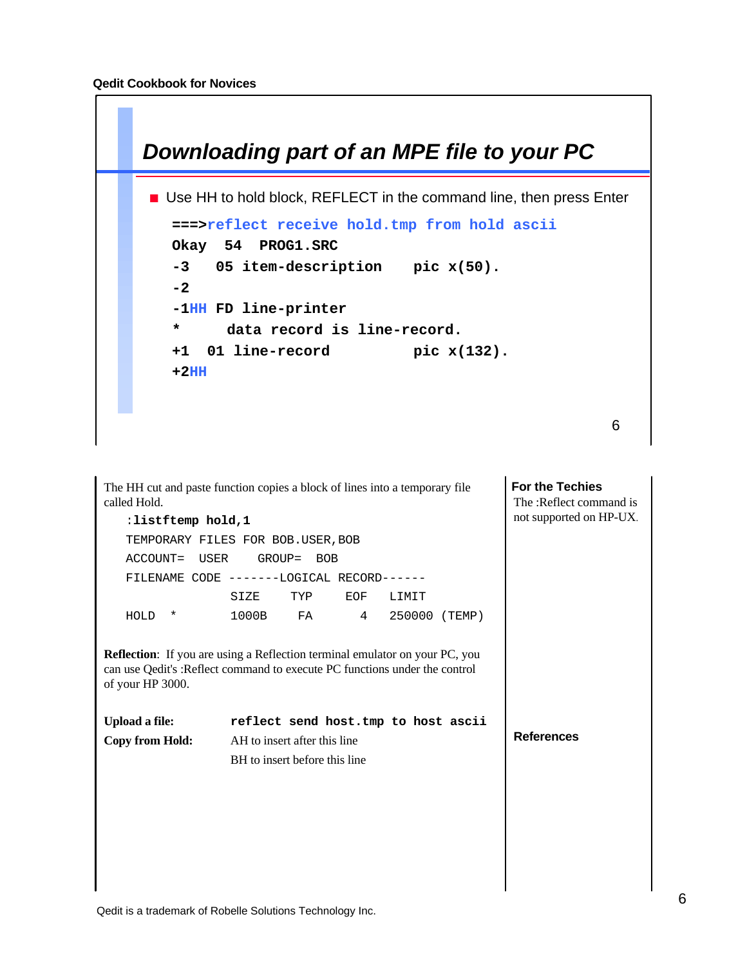

**For the Techies References** The HH cut and paste function copies a block of lines into a temporary file called Hold. :**listftemp hold,1** TEMPORARY FILES FOR BOB.USER, BOB ACCOUNT= USER GROUP= BOB FILENAME CODE -------LOGICAL RECORD------ SIZE TYP EOF LIMIT HOLD \* 1000B FA 4 250000 (TEMP) **Reflection**: If you are using a Reflection terminal emulator on your PC, you can use Qedit's :Reflect command to execute PC functions under the control of your HP 3000. **Upload a file: reflect send host.tmp to host ascii Copy from Hold:** AH to insert after this line BH to insert before this line The :Reflect command is not supported on HP-UX.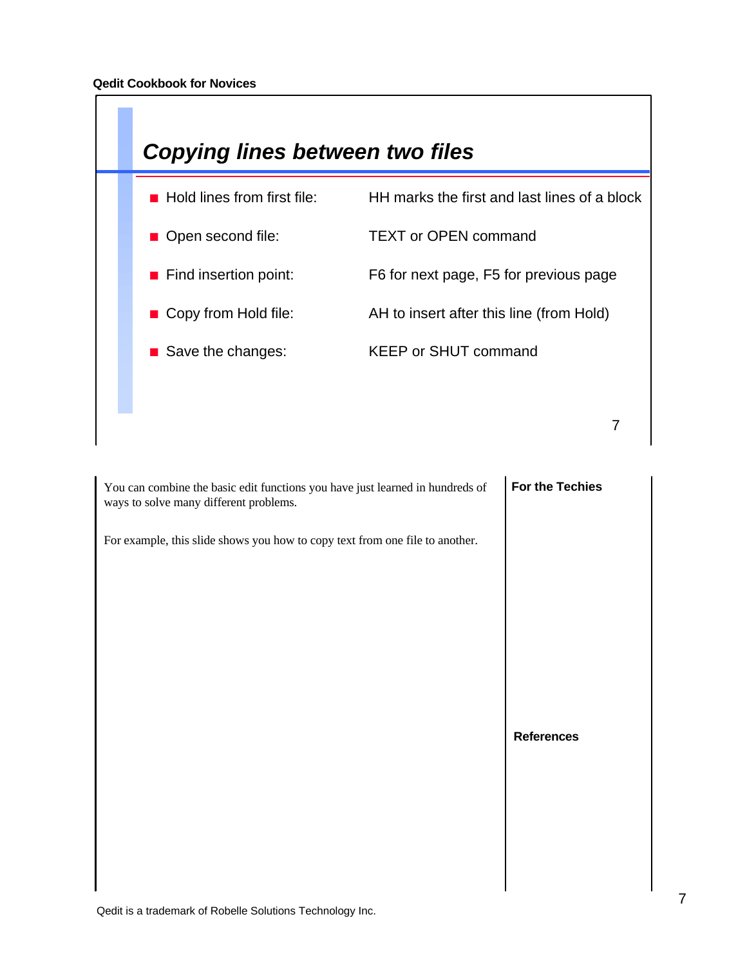

| You can combine the basic edit functions you have just learned in hundreds of<br>ways to solve many different problems. | For the Techies   |
|-------------------------------------------------------------------------------------------------------------------------|-------------------|
| For example, this slide shows you how to copy text from one file to another.                                            |                   |
|                                                                                                                         |                   |
|                                                                                                                         | <b>References</b> |
|                                                                                                                         |                   |
|                                                                                                                         |                   |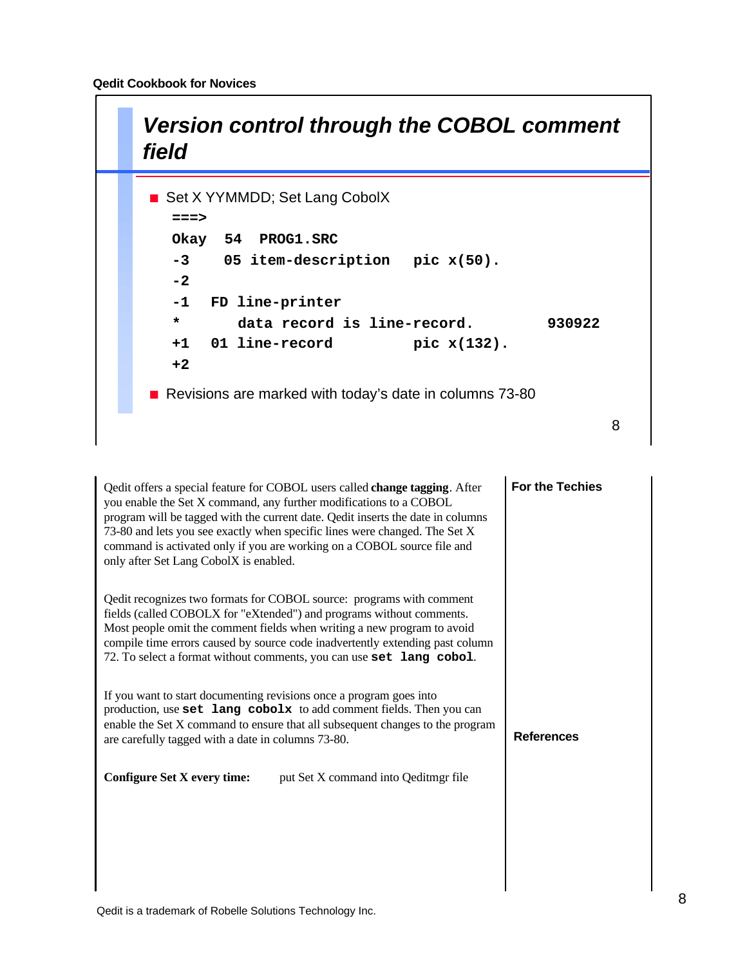

| Qedit offers a special feature for COBOL users called change tagging. After<br>you enable the Set X command, any further modifications to a COBOL<br>program will be tagged with the current date. Qedit inserts the date in columns<br>73-80 and lets you see exactly when specific lines were changed. The Set X<br>command is activated only if you are working on a COBOL source file and<br>only after Set Lang CobolX is enabled. | <b>For the Techies</b> |
|-----------------------------------------------------------------------------------------------------------------------------------------------------------------------------------------------------------------------------------------------------------------------------------------------------------------------------------------------------------------------------------------------------------------------------------------|------------------------|
| Qedit recognizes two formats for COBOL source: programs with comment<br>fields (called COBOLX for "eXtended") and programs without comments.<br>Most people omit the comment fields when writing a new program to avoid<br>compile time errors caused by source code inadvertently extending past column<br>72. To select a format without comments, you can use set lang cobol.                                                        |                        |
| If you want to start documenting revisions once a program goes into<br>production, use set lang cobolx to add comment fields. Then you can<br>enable the Set X command to ensure that all subsequent changes to the program<br>are carefully tagged with a date in columns 73-80.                                                                                                                                                       | <b>References</b>      |
| put Set X command into Qeditmgr file<br><b>Configure Set X every time:</b>                                                                                                                                                                                                                                                                                                                                                              |                        |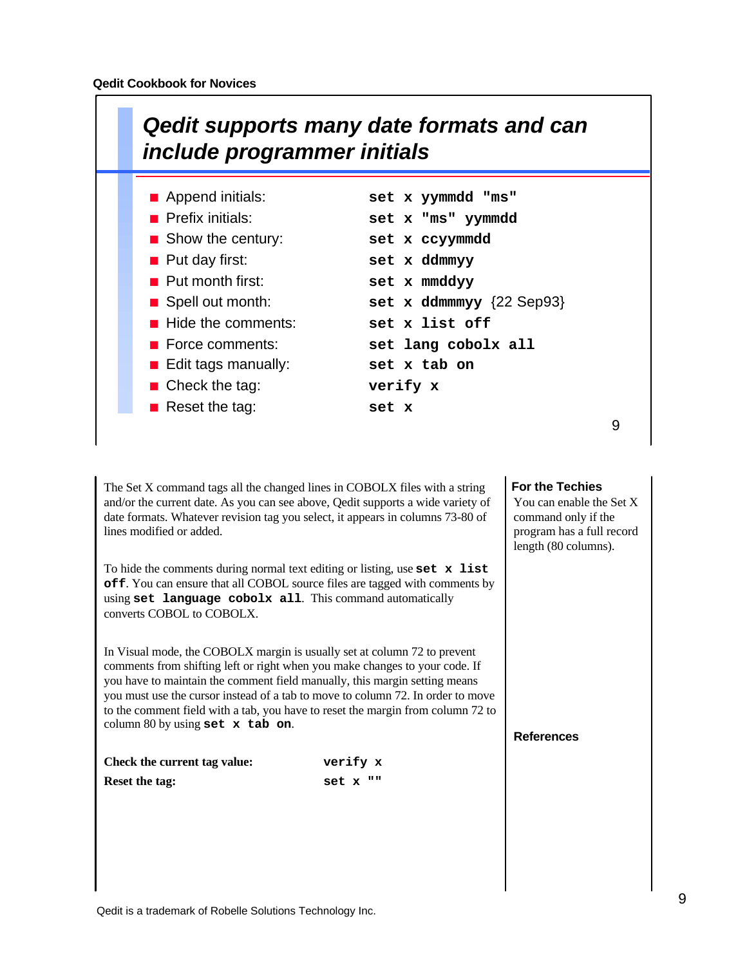

| Append initials:                  | set x yymmdd "ms"                     |
|-----------------------------------|---------------------------------------|
| <b>Prefix initials:</b>           | set x "ms" yymmdd                     |
| $\blacksquare$ Show the century:  | set x ccyymmdd                        |
| $\blacksquare$ Put day first:     | set x ddmmyy                          |
| $\blacksquare$ Put month first:   | set x mmddyy                          |
| Spell out month:                  | set x ddmmmyy $\{22 \text{ Sep93}\}\$ |
| $\blacksquare$ Hide the comments: | set x list off                        |
| $\blacksquare$ Force comments:    | set lang cobolx all                   |
| <b>E</b> Edit tags manually:      | set x tab on                          |
| $\blacksquare$ Check the tag:     | verify x                              |
| <b>Reset the tag:</b>             | set x                                 |
|                                   |                                       |

The Set X command tags all the changed lines in COBOLX files with a string and/or the current date. As you can see above, Qedit supports a wide variety of date formats. Whatever revision tag you select, it appears in columns 73-80 of lines modified or added.

To hide the comments during normal text editing or listing, use **set x list off**. You can ensure that all COBOL source files are tagged with comments by using **set language cobolx all**. This command automatically converts COBOL to COBOLX.

In Visual mode, the COBOLX margin is usually set at column 72 to prevent comments from shifting left or right when you make changes to your code. If you have to maintain the comment field manually, this margin setting means you must use the cursor instead of a tab to move to column 72. In order to move to the comment field with a tab, you have to reset the margin from column 72 to column 80 by using **set x tab on**.

| Check the current tag value: | verify x |
|------------------------------|----------|
| <b>Reset the tag:</b>        | set x "" |

#### **For the Techies**

You can enable the Set X command only if the program has a full record length (80 columns).

9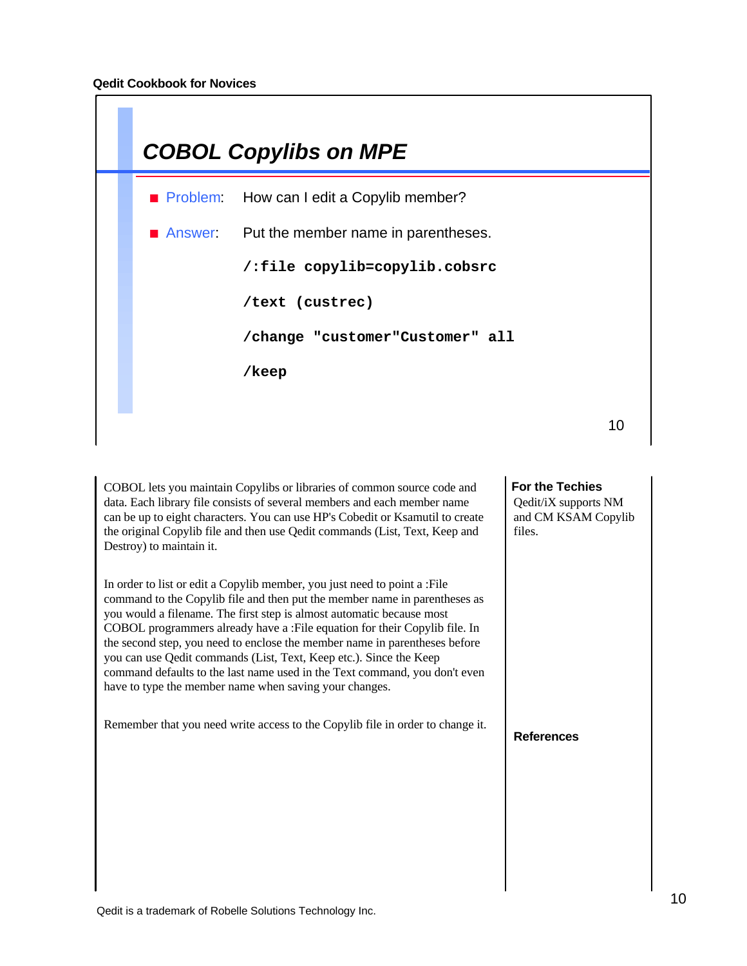|  | <b>COBOL Copylibs on MPE</b>                |    |
|--|---------------------------------------------|----|
|  | Problem: How can I edit a Copylib member?   |    |
|  | Answer: Put the member name in parentheses. |    |
|  | /:file copylib=copylib.cobsrc               |    |
|  | /text (custrec)                             |    |
|  | /change "customer"Customer" all             |    |
|  | /keep                                       |    |
|  |                                             | 10 |
|  |                                             |    |

COBOL lets you maintain Copylibs or libraries of common source code and data. Each library file consists of several members and each member name can be up to eight characters. You can use HP's Cobedit or Ksamutil to create the original Copylib file and then use Qedit commands (List, Text, Keep and Destroy) to maintain it.

In order to list or edit a Copylib member, you just need to point a :File command to the Copylib file and then put the member name in parentheses as you would a filename. The first step is almost automatic because most COBOL programmers already have a :File equation for their Copylib file. In the second step, you need to enclose the member name in parentheses before you can use Qedit commands (List, Text, Keep etc.). Since the Keep command defaults to the last name used in the Text command, you don't even have to type the member name when saving your changes.

Remember that you need write access to the Copylib file in order to change it.

# **For the Techies** Qedit/iX supports NM and CM KSAM Copylib files.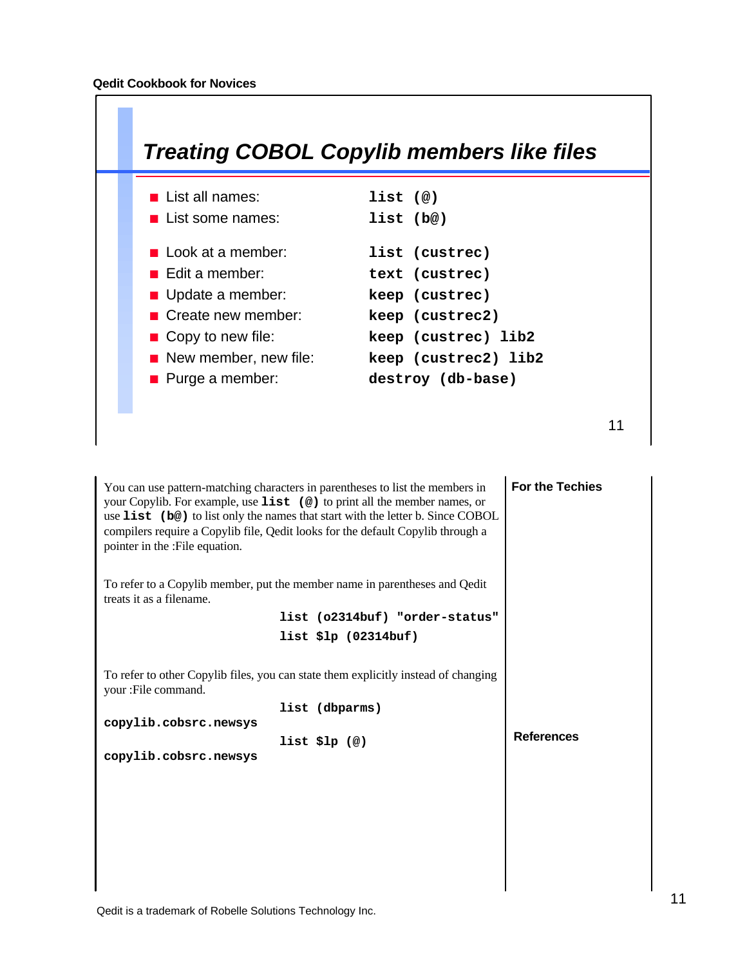

| You can use pattern-matching characters in parentheses to list the members in<br>your Copylib. For example, use list (@) to print all the member names, or<br>use list (b@) to list only the names that start with the letter b. Since COBOL<br>compilers require a Copylib file, Qedit looks for the default Copylib through a<br>pointer in the :File equation. | <b>For the Techies</b> |
|-------------------------------------------------------------------------------------------------------------------------------------------------------------------------------------------------------------------------------------------------------------------------------------------------------------------------------------------------------------------|------------------------|
| To refer to a Copylib member, put the member name in parentheses and Qedit<br>treats it as a filename.                                                                                                                                                                                                                                                            |                        |
| list (o2314buf) "order-status"                                                                                                                                                                                                                                                                                                                                    |                        |
| list $$lp (02314buf)$                                                                                                                                                                                                                                                                                                                                             |                        |
| To refer to other Copylib files, you can state them explicitly instead of changing<br>your :File command.                                                                                                                                                                                                                                                         |                        |
| list (dbparms)                                                                                                                                                                                                                                                                                                                                                    |                        |
| copylib.cobsrc.newsys                                                                                                                                                                                                                                                                                                                                             | <b>References</b>      |
| $list$ $slp$ $(\emptyset)$<br>copylib.cobsrc.newsys                                                                                                                                                                                                                                                                                                               |                        |
|                                                                                                                                                                                                                                                                                                                                                                   |                        |
|                                                                                                                                                                                                                                                                                                                                                                   |                        |
|                                                                                                                                                                                                                                                                                                                                                                   |                        |
|                                                                                                                                                                                                                                                                                                                                                                   |                        |
|                                                                                                                                                                                                                                                                                                                                                                   |                        |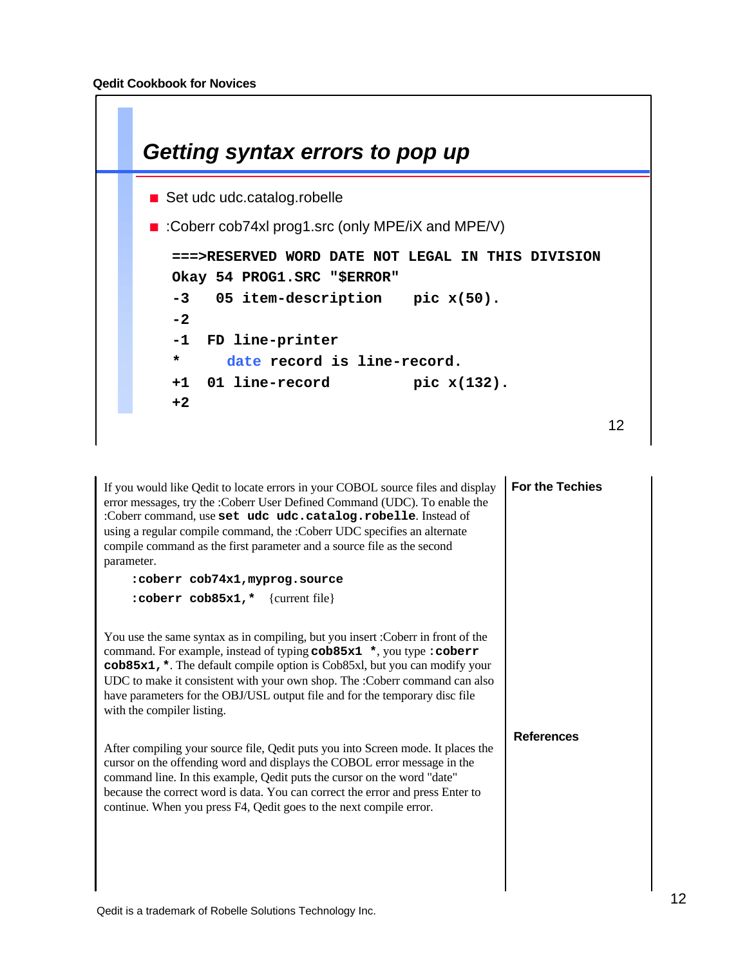

| If you would like Qedit to locate errors in your COBOL source files and display<br>error messages, try the :Coberr User Defined Command (UDC). To enable the<br>:Coberr command, use set udc udc.catalog.robelle. Instead of<br>using a regular compile command, the :Coberr UDC specifies an alternate<br>compile command as the first parameter and a source file as the second<br>parameter.<br>:coberr cob74x1, myprog.source<br>:coberr cob85x1,* {current file} | For the Techies   |
|-----------------------------------------------------------------------------------------------------------------------------------------------------------------------------------------------------------------------------------------------------------------------------------------------------------------------------------------------------------------------------------------------------------------------------------------------------------------------|-------------------|
| You use the same syntax as in compiling, but you insert : Coberr in front of the<br>command. For example, instead of typing cob85x1 *, you type : coberr<br>cob85x1, *. The default compile option is Cob85xl, but you can modify your<br>UDC to make it consistent with your own shop. The :Coberr command can also<br>have parameters for the OBJ/USL output file and for the temporary disc file<br>with the compiler listing.                                     |                   |
| After compiling your source file, Qedit puts you into Screen mode. It places the<br>cursor on the offending word and displays the COBOL error message in the<br>command line. In this example, Qedit puts the cursor on the word "date"<br>because the correct word is data. You can correct the error and press Enter to<br>continue. When you press F4, Qedit goes to the next compile error.                                                                       | <b>References</b> |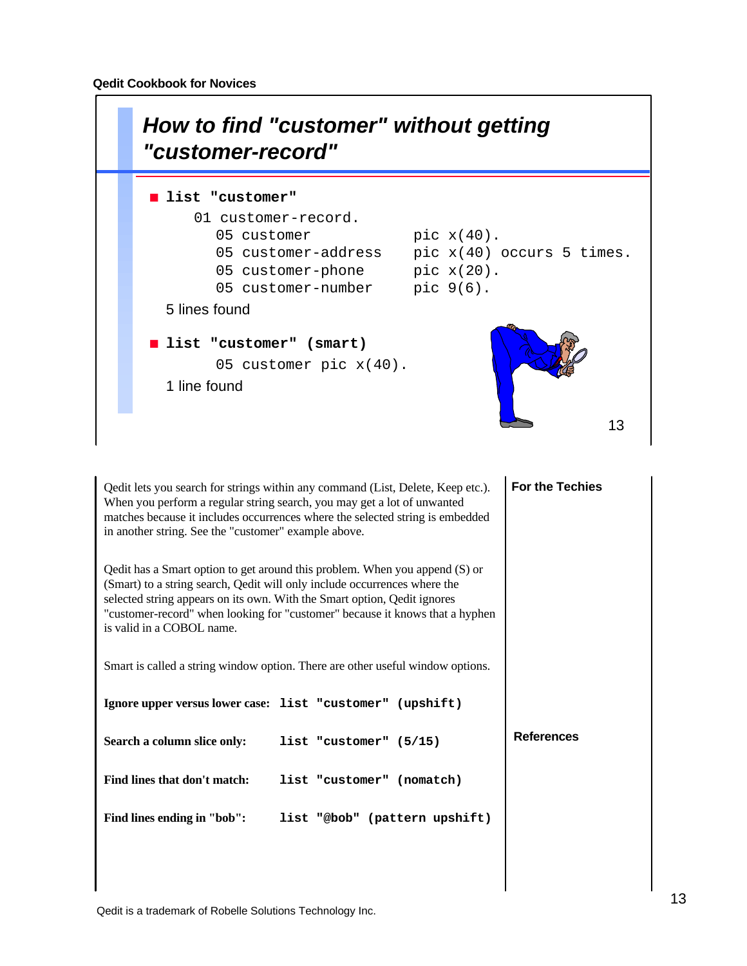

**For the Techies References** Qedit lets you search for strings within any command (List, Delete, Keep etc.). When you perform a regular string search, you may get a lot of unwanted matches because it includes occurrences where the selected string is embedded in another string. See the "customer" example above. Qedit has a Smart option to get around this problem. When you append (S) or (Smart) to a string search, Qedit will only include occurrences where the selected string appears on its own. With the Smart option, Qedit ignores "customer-record" when looking for "customer" because it knows that a hyphen is valid in a COBOL name. Smart is called a string window option. There are other useful window options. **Ignore upper versus lower case: list "customer" (upshift) Search a column slice only: list "customer" (5/15) Find lines that don't match: list "customer" (nomatch) Find lines ending in "bob": list "@bob" (pattern upshift)**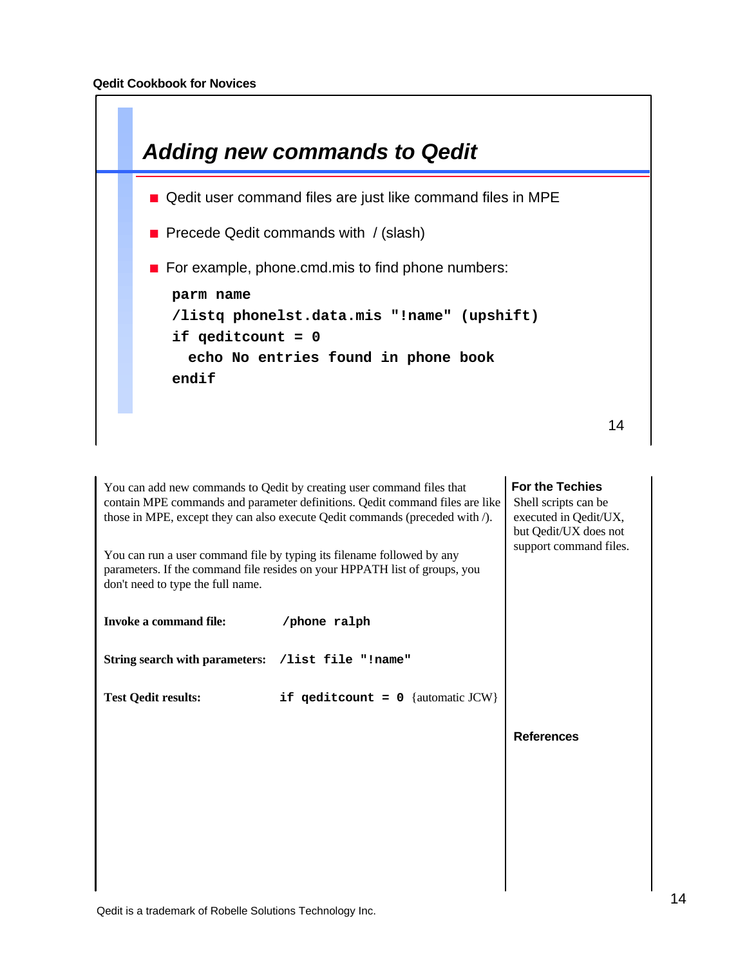

**For the Techies References** You can add new commands to Qedit by creating user command files that contain MPE commands and parameter definitions. Qedit command files are like those in MPE, except they can also execute Qedit commands (preceded with /). You can run a user command file by typing its filename followed by any parameters. If the command file resides on your HPPATH list of groups, you don't need to type the full name. **Invoke a command file: /phone ralph String search with parameters: /list file "!name" Test Qedit results: if qeditcount = 0** {automatic JCW} Shell scripts can be executed in Qedit/UX, but Qedit/UX does not support command files.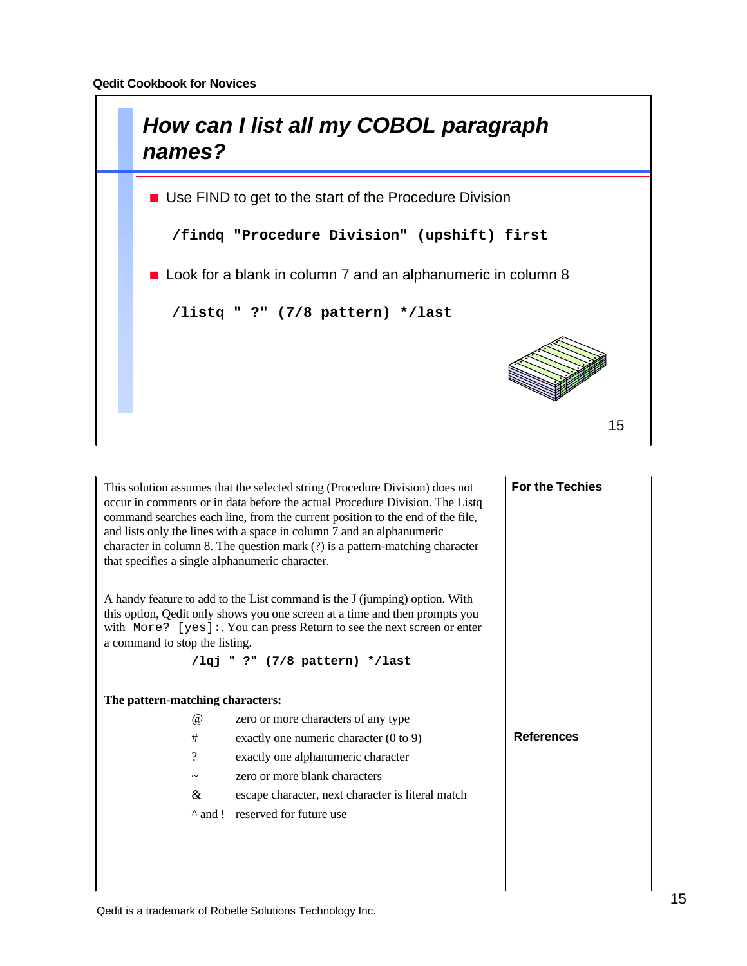

This solution assumes that the selected string (Procedure Division) does not occur in comments or in data before the actual Procedure Division. The Listq command searches each line, from the current position to the end of the file, and lists only the lines with a space in column 7 and an alphanumeric character in column 8. The question mark (?) is a pattern-matching character that specifies a single alphanumeric character.

A handy feature to add to the List command is the J (jumping) option. With this option, Qedit only shows you one screen at a time and then prompts you with More? [yes]: You can press Return to see the next screen or enter a command to stop the listing.

**/lqj " ?" (7/8 pattern) \*/last**

#### **The pattern-matching characters:**

- @ zero or more characters of any type
- # exactly one numeric character (0 to 9)
- ? exactly one alphanumeric character
- ~ zero or more blank characters
- & escape character, next character is literal match
- ^ and ! reserved for future use

**For the Techies**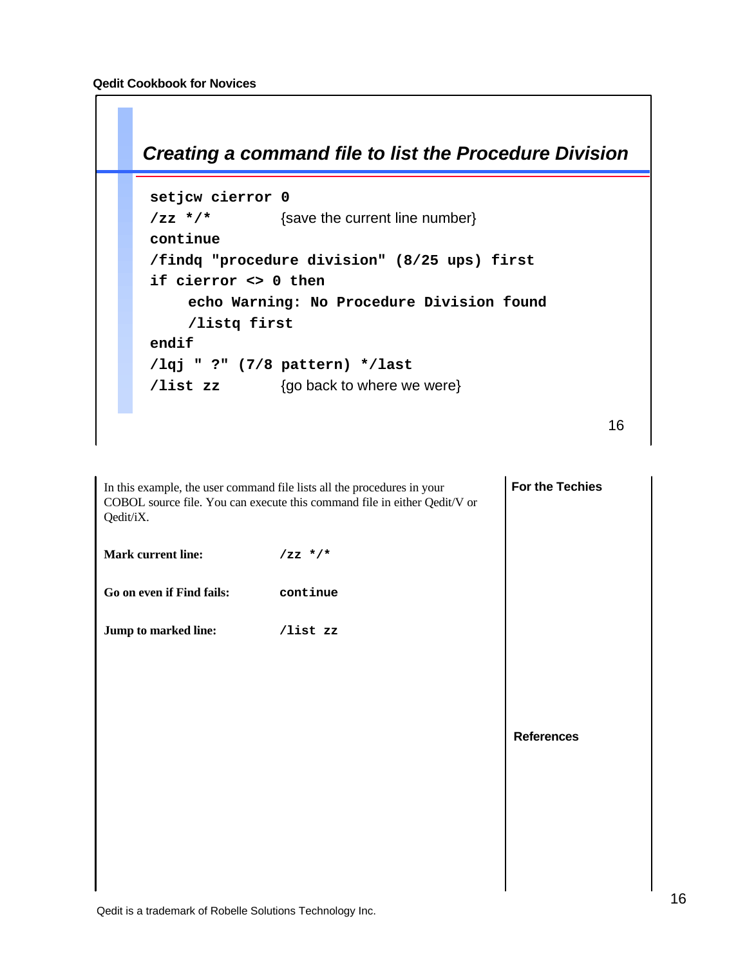

| <b>For the Techies</b><br>In this example, the user command file lists all the procedures in your<br>COBOL source file. You can execute this command file in either Qedit/V or<br>Qedit/iX. |           |                   |
|---------------------------------------------------------------------------------------------------------------------------------------------------------------------------------------------|-----------|-------------------|
| <b>Mark current line:</b>                                                                                                                                                                   | $/zz$ */* |                   |
| Go on even if Find fails:                                                                                                                                                                   | continue  |                   |
| Jump to marked line:                                                                                                                                                                        | /list zz  |                   |
|                                                                                                                                                                                             |           |                   |
|                                                                                                                                                                                             |           |                   |
|                                                                                                                                                                                             |           | <b>References</b> |
|                                                                                                                                                                                             |           |                   |
|                                                                                                                                                                                             |           |                   |
|                                                                                                                                                                                             |           |                   |
|                                                                                                                                                                                             |           |                   |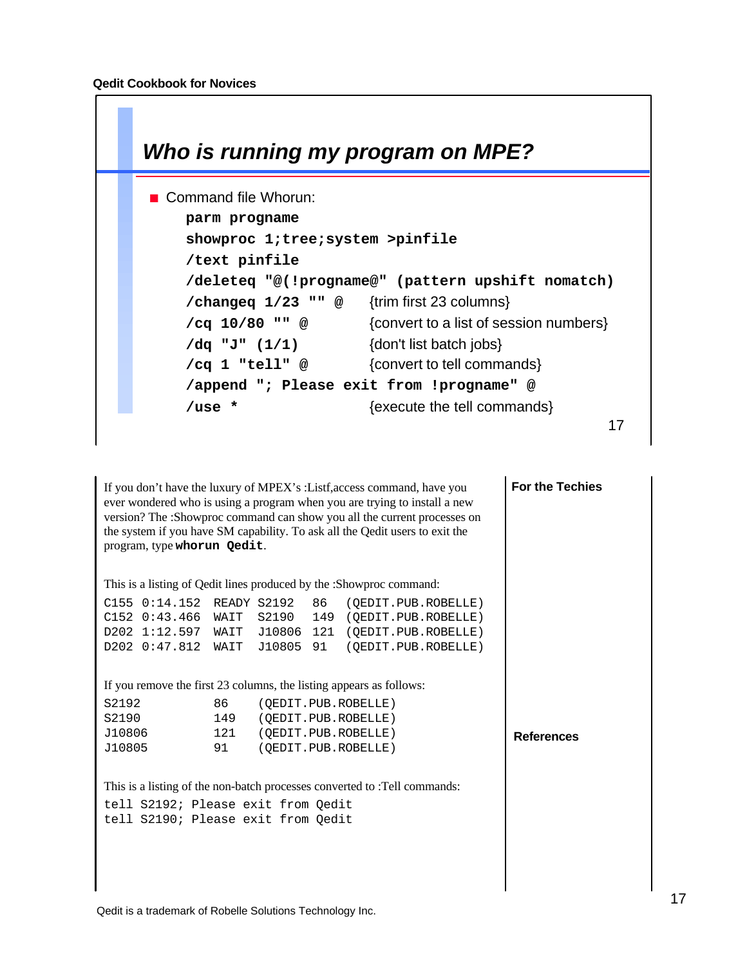ſ

| Who is running my program on MPE?                        |
|----------------------------------------------------------|
| ■ Command file Whorun:                                   |
| parm progname                                            |
| showproc 1; tree; system >pinfile                        |
| /text pinfile                                            |
| /deleteq "@(!progname@" (pattern upshift nomatch)        |
| /changeq $1/23$ "" @ {trim first 23 columns}             |
| {convert to a list of session numbers}<br>/cq 10/80 "" @ |
| {don't list batch jobs}<br>/dq "J" (1/1)                 |
| {convert to tell commands}<br>/cq 1 "tell" @             |
| /append "; Please exit from !progname" @                 |
| {execute the tell commands}<br>/use $*$                  |
| 17                                                       |
|                                                          |

If you don't have the luxury of MPEX's :Listf,access command, have you ever wondered who is using a program when you are trying to install a new version? The :Showproc command can show you all the current processes on the system if you have SM capability. To ask all the Qedit users to exit the program, type **whorun Qedit**.

This is a listing of Qedit lines produced by the :Showproc command:

|  |  | $C155$ $0:14.152$ READY S2192 86 (OEDIT.PUB.ROBELLE) |
|--|--|------------------------------------------------------|
|  |  | $C152$ 0:43.466 WAIT S2190 149 (OEDIT.PUB.ROBELLE)   |
|  |  | $D202$ 1:12.597 WAIT J10806 121 (OEDIT.PUB.ROBELLE)  |
|  |  | D202 0:47.812 WAIT J10805 91 (OEDIT.PUB.ROBELLE)     |

If you remove the first 23 columns, the listing appears as follows:

| S2192  | 86  | (OEDIT.PUB.ROBELLE) |
|--------|-----|---------------------|
| S2190  | 149 | (OEDIT.PUB.ROBELLE) |
| J10806 | 121 | (OEDIT.PUB.ROBELLE) |
| J10805 | 91  | (OEDIT.PUB.ROBELLE) |

This is a listing of the non-batch processes converted to :Tell commands:

tell S2192; Please exit from Qedit tell S2190; Please exit from Qedit **For the Techies**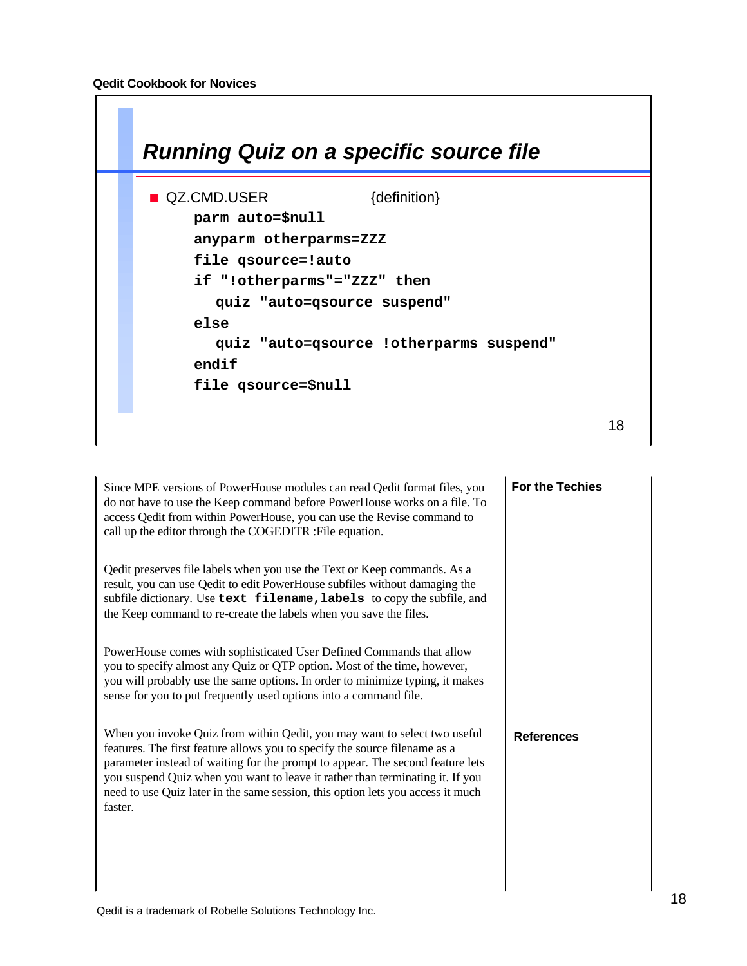

Since MPE versions of PowerHouse modules can read Qedit format files, you do not have to use the Keep command before PowerHouse works on a file. To access Qedit from within PowerHouse, you can use the Revise command to call up the editor through the COGEDITR :File equation.

Qedit preserves file labels when you use the Text or Keep commands. As a result, you can use Qedit to edit PowerHouse subfiles without damaging the subfile dictionary. Use **text filename,labels** to copy the subfile, and the Keep command to re-create the labels when you save the files.

PowerHouse comes with sophisticated User Defined Commands that allow you to specify almost any Quiz or QTP option. Most of the time, however, you will probably use the same options. In order to minimize typing, it makes sense for you to put frequently used options into a command file.

When you invoke Quiz from within Qedit, you may want to select two useful features. The first feature allows you to specify the source filename as a parameter instead of waiting for the prompt to appear. The second feature lets you suspend Quiz when you want to leave it rather than terminating it. If you need to use Quiz later in the same session, this option lets you access it much faster.

**For the Techies**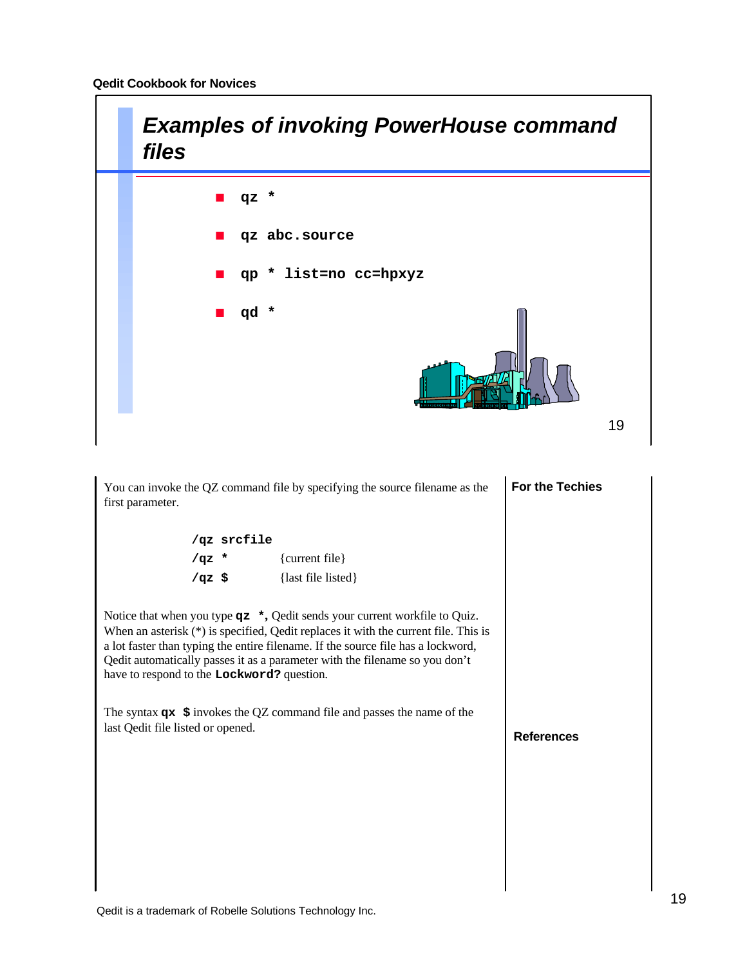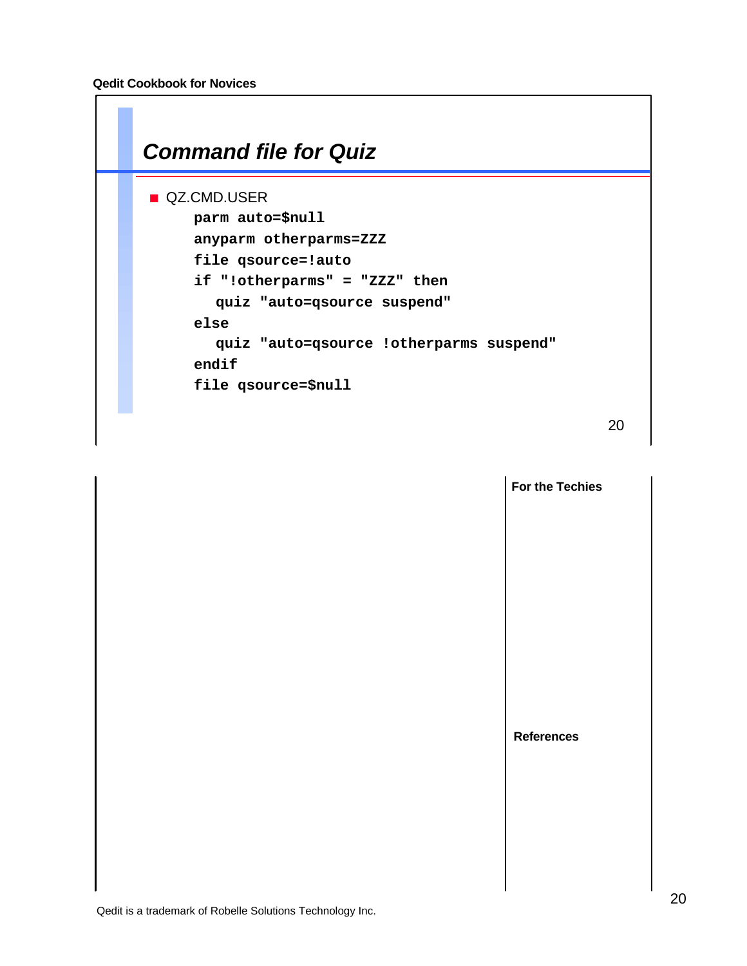

|  | For the Techies   |
|--|-------------------|
|  |                   |
|  |                   |
|  |                   |
|  |                   |
|  |                   |
|  |                   |
|  | <b>References</b> |
|  |                   |
|  |                   |
|  |                   |
|  |                   |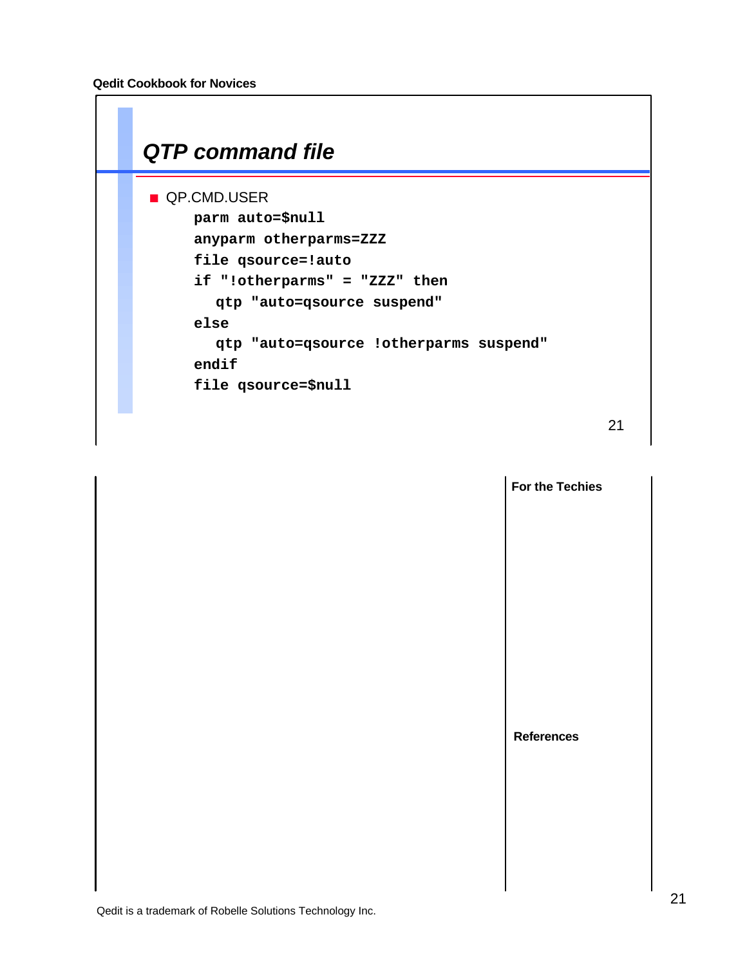

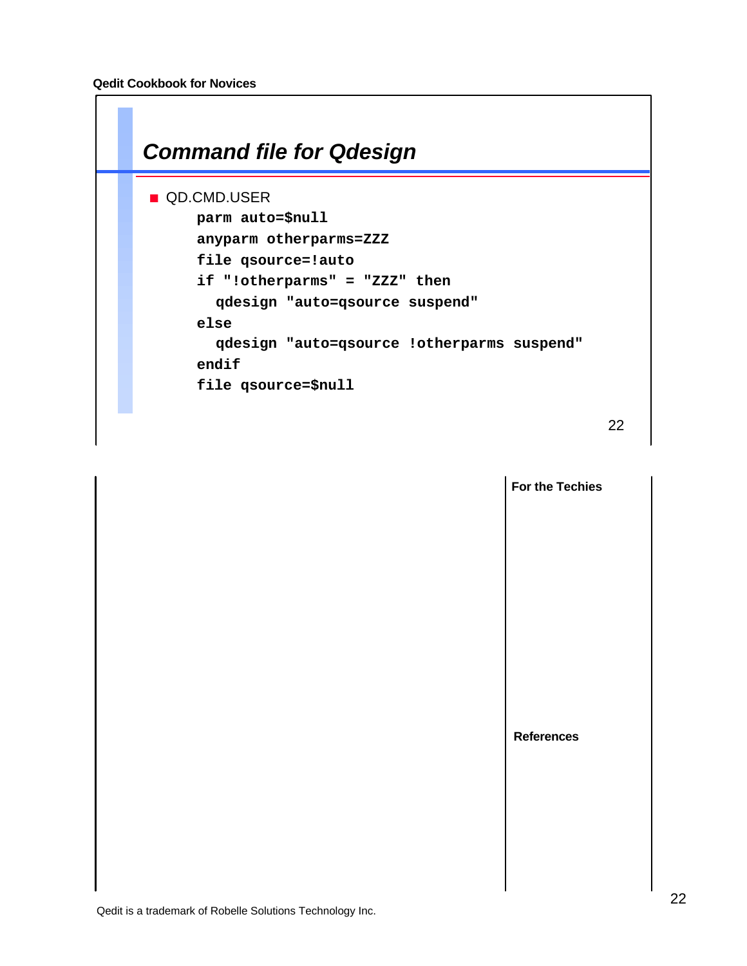

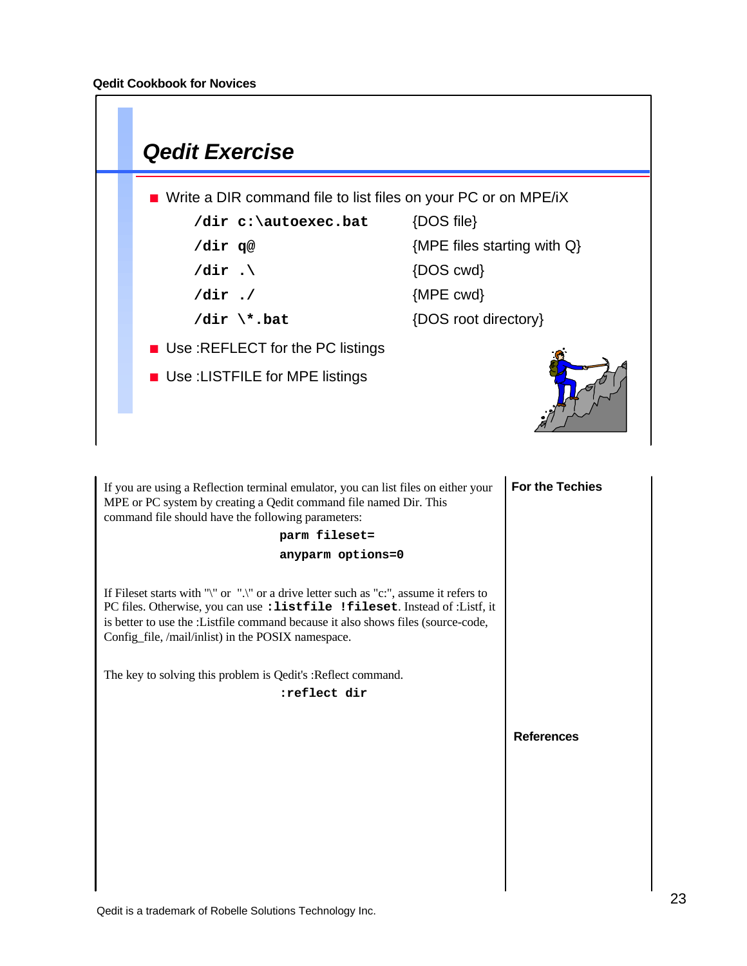

**For the Techies References** If you are using a Reflection terminal emulator, you can list files on either your MPE or PC system by creating a Qedit command file named Dir. This command file should have the following parameters: **parm fileset= anyparm options=0** If Fileset starts with "\" or ".\" or a drive letter such as "c:", assume it refers to PC files. Otherwise, you can use **:listfile !fileset**. Instead of :Listf, it is better to use the :Listfile command because it also shows files (source-code, Config\_file, /mail/inlist) in the POSIX namespace. The key to solving this problem is Qedit's :Reflect command. **:reflect dir**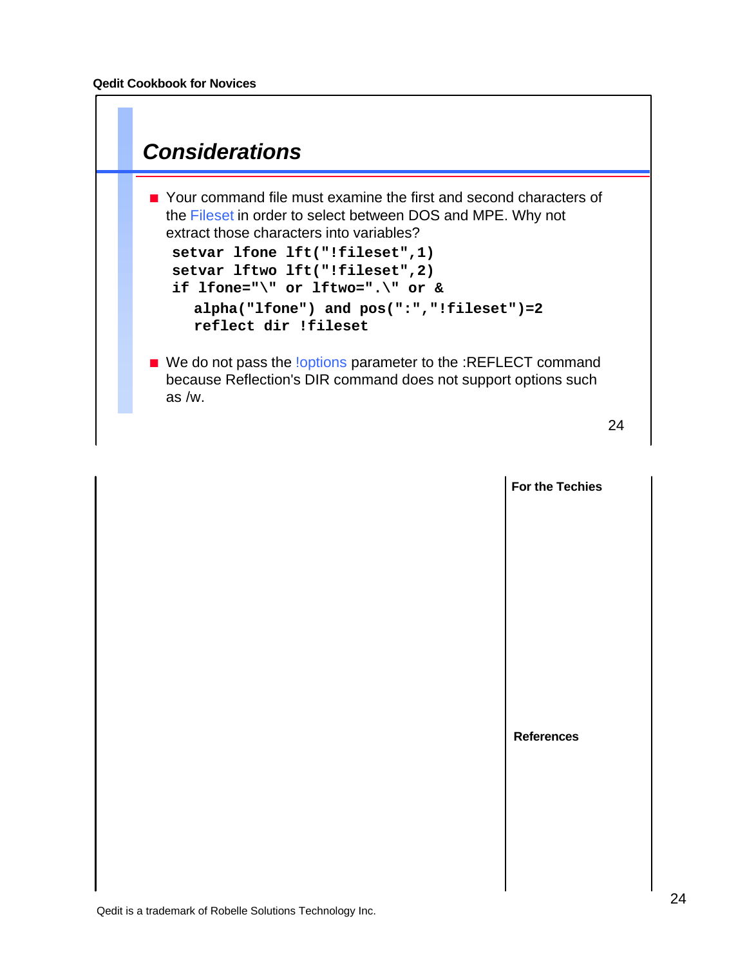

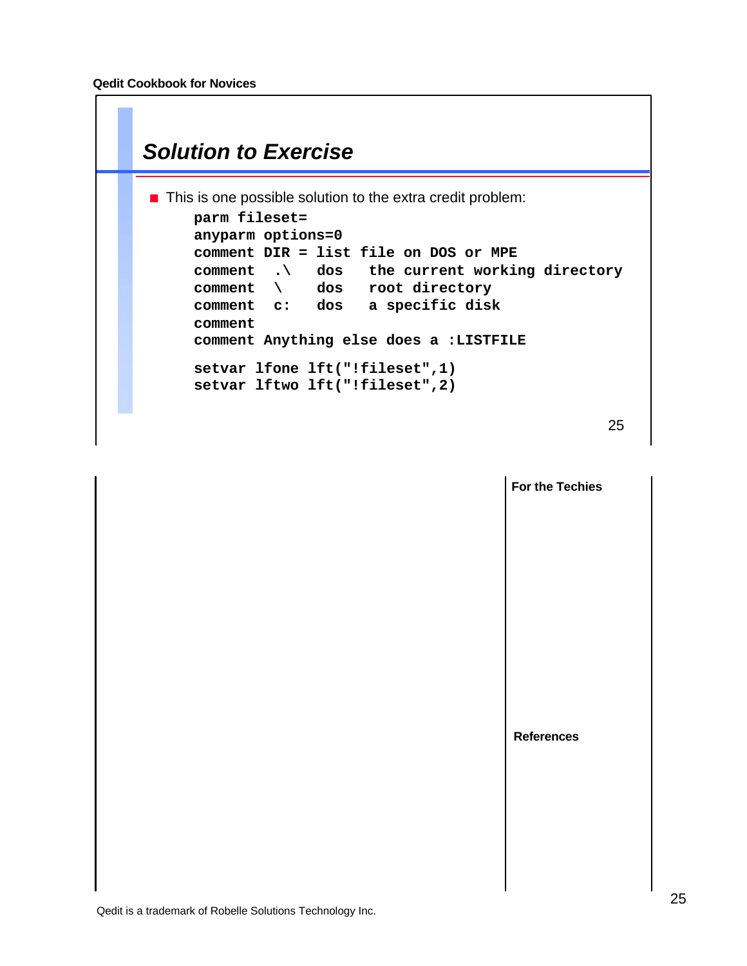

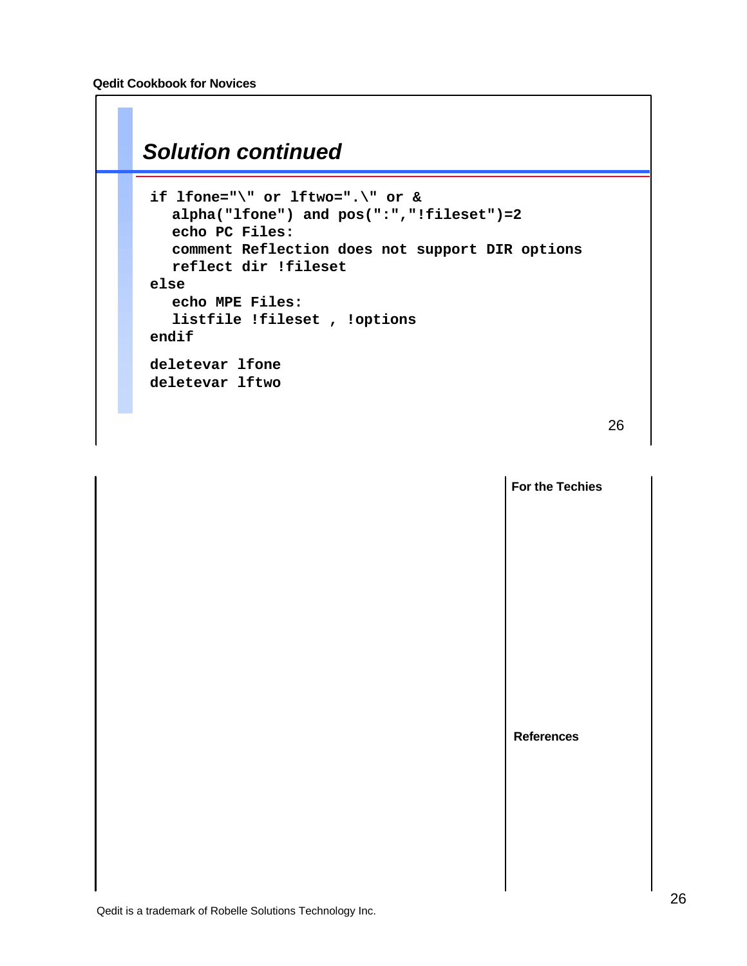### *Solution continued*

```
if lfone="\" or lftwo=".\" or &
  alpha("lfone") and pos(":","!fileset")=2
  echo PC Files:
  comment Reflection does not support DIR options
  reflect dir !fileset
else
  echo MPE Files:
  listfile !fileset , !options
endif
deletevar lfone
deletevar lftwo
```
26